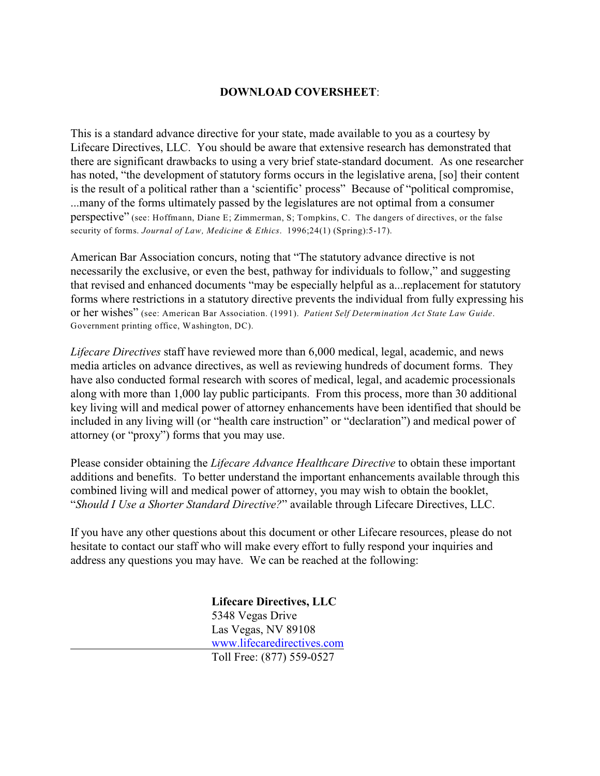#### **DOWNLOAD COVERSHEET**:

This is a standard advance directive for your state, made available to you as a courtesy by Lifecare Directives, LLC. You should be aware that extensive research has demonstrated that there are significant drawbacks to using a very brief state-standard document. As one researcher has noted, "the development of statutory forms occurs in the legislative arena, [so] their content is the result of a political rather than a 'scientific' process" Because of "political compromise, ...many of the forms ultimately passed by the legislatures are not optimal from a consumer perspective" (see: Hoffmann, Diane E; Zimmerman, S; Tompkins, C. The dangers of directives, or the false security of forms. *Journal of Law, Medicine & Ethics*. 1996;24(1) (Spring):5-17).

American Bar Association concurs, noting that "The statutory advance directive is not necessarily the exclusive, or even the best, pathway for individuals to follow," and suggesting that revised and enhanced documents "may be especially helpful as a...replacement for statutory forms where restrictions in a statutory directive prevents the individual from fully expressing his or her wishes" (see: American Bar Association. (1991). *Patient Self Determination Act State Law Guide*. Government printing office, Washington, DC).

*Lifecare Directives* staff have reviewed more than 6,000 medical, legal, academic, and news media articles on advance directives, as well as reviewing hundreds of document forms. They have also conducted formal research with scores of medical, legal, and academic processionals along with more than 1,000 lay public participants. From this process, more than 30 additional key living will and medical power of attorney enhancements have been identified that should be included in any living will (or "health care instruction" or "declaration") and medical power of attorney (or "proxy") forms that you may use.

Please consider obtaining the *Lifecare Advance Healthcare Directive* to obtain these important additions and benefits. To better understand the important enhancements available through this combined living will and medical power of attorney, you may wish to obtain the booklet, "*Should I Use a Shorter Standard Directive?*" available through Lifecare Directives, LLC.

If you have any other questions about this document or other Lifecare resources, please do not hesitate to contact our staff who will make every effort to fully respond your inquiries and address any questions you may have. We can be reached at the following:

> **Lifecare Directives, LLC** 5348 Vegas Drive Las Vegas, NV 89108 [www.lifecaredirectives.com](http://www.lifecaredirectives.com) Toll Free: (877) 559-0527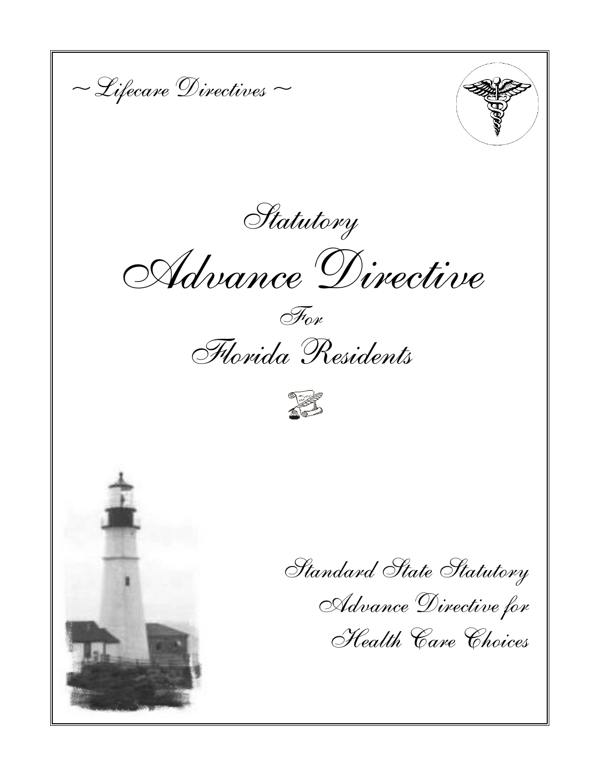*~Lifecare Directives ~ Statutory*

*Advance Directive*

*For Florida Residents*





*Standard State Statutory Advance Directive for*

*Health Care Choices*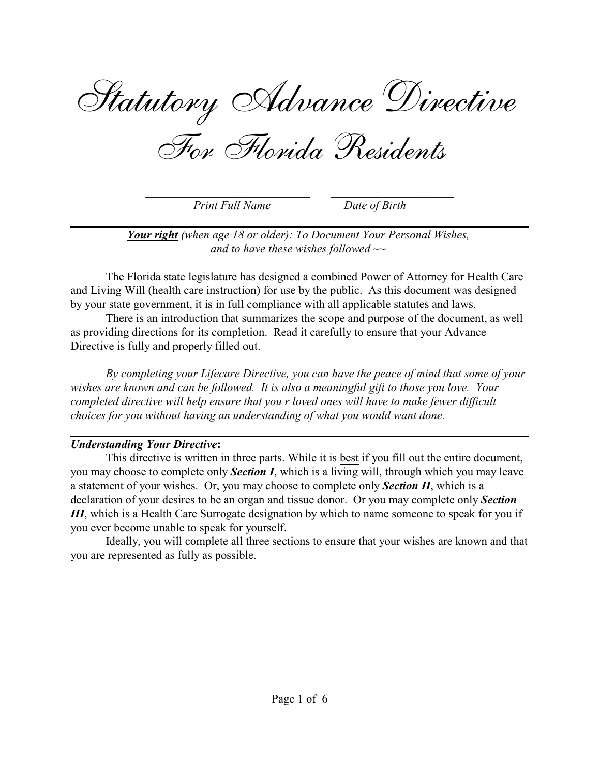*Statutory Advance Directive*

*For Florida Residents*

\_\_\_\_\_\_\_\_\_\_\_\_\_\_\_\_\_\_\_\_\_\_\_\_\_\_\_\_ \_\_\_\_\_\_\_\_\_\_\_\_\_\_\_\_\_\_\_\_\_ *Print Full Name Date of Birth*

*Your right (when age 18 or older): To Document Your Personal Wishes, and to have these wishes followed* ~~

The Florida state legislature has designed a combined Power of Attorney for Health Care and Living Will (health care instruction) for use by the public. As this document was designed by your state government, it is in full compliance with all applicable statutes and laws.

There is an introduction that summarizes the scope and purpose of the document, as well as providing directions for its completion. Read it carefully to ensure that your Advance Directive is fully and properly filled out.

*By completing your Lifecare Directive, you can have the peace of mind that some of your wishes are known and can be followed. It is also a meaningful gift to those you love. Your completed directive will help ensure that you r loved ones will have to make fewer difficult choices for you without having an understanding of what you would want done.*

### *Understanding Your Directive***:**

This directive is written in three parts. While it is best if you fill out the entire document, you may choose to complete only *Section I*, which is a living will, through which you may leave a statement of your wishes. Or, you may choose to complete only *Section II*, which is a declaration of your desires to be an organ and tissue donor. Or you may complete only *Section III*, which is a Health Care Surrogate designation by which to name someone to speak for you if you ever become unable to speak for yourself.

Ideally, you will complete all three sections to ensure that your wishes are known and that you are represented as fully as possible.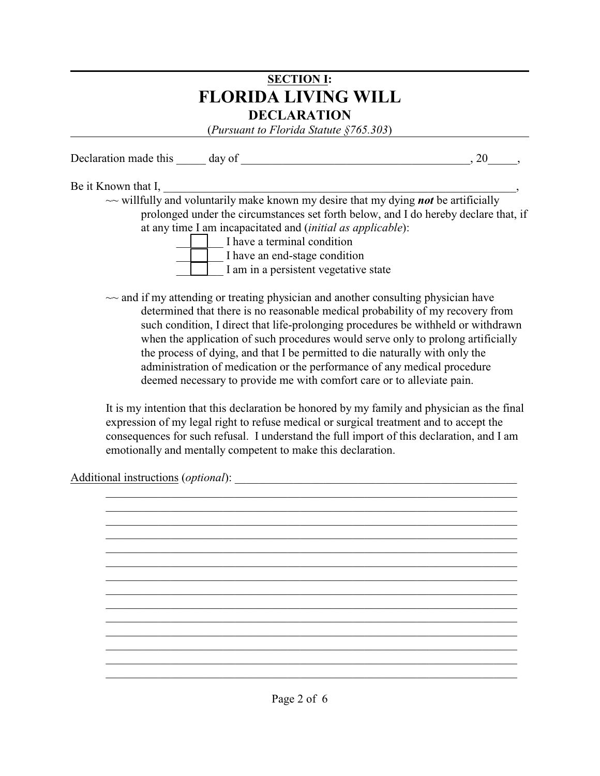|                                        | <b>SECTION I:</b>                                                                                                                                                                                                                                                                                                                                                        |                                                                                                                                                                       |  |
|----------------------------------------|--------------------------------------------------------------------------------------------------------------------------------------------------------------------------------------------------------------------------------------------------------------------------------------------------------------------------------------------------------------------------|-----------------------------------------------------------------------------------------------------------------------------------------------------------------------|--|
| <b>FLORIDA LIVING WILL</b>             |                                                                                                                                                                                                                                                                                                                                                                          |                                                                                                                                                                       |  |
|                                        | <b>DECLARATION</b>                                                                                                                                                                                                                                                                                                                                                       |                                                                                                                                                                       |  |
| (Pursuant to Florida Statute §765.303) |                                                                                                                                                                                                                                                                                                                                                                          |                                                                                                                                                                       |  |
|                                        | Declaration made this day of day of declaration and the set of the set of the set of the set of the set of the set of the set of the set of the set of the set of the set of the set of the set of the set of the set of the s                                                                                                                                           | .20                                                                                                                                                                   |  |
| Be it Known that I,                    |                                                                                                                                                                                                                                                                                                                                                                          |                                                                                                                                                                       |  |
|                                        | $\sim$ willfully and voluntarily make known my desire that my dying <i>not</i> be artificially<br>at any time I am incapacitated and <i>(initial as applicable)</i> :<br>I have a terminal condition<br>I have an end-stage condition<br>I am in a persistent vegetative state<br>$\sim$ and if my attending or treating physician and another consulting physician have | prolonged under the circumstances set forth below, and I do hereby declare that, if                                                                                   |  |
|                                        | determined that there is no reasonable medical probability of my recovery from<br>the process of dying, and that I be permitted to die naturally with only the<br>administration of medication or the performance of any medical procedure<br>deemed necessary to provide me with comfort care or to alleviate pain.                                                     | such condition, I direct that life-prolonging procedures be withheld or withdrawn<br>when the application of such procedures would serve only to prolong artificially |  |
|                                        | expression of my legal right to refuse medical or surgical treatment and to accept the                                                                                                                                                                                                                                                                                   | It is my intention that this declaration be honored by my family and physician as the final                                                                           |  |

expression of my legal right to refuse medical or surgical treatment and to accept the consequences for such refusal. I understand the full import of this declaration, and I am emotionally and mentally competent to make this declaration.

Additional instructions (*optional*): \_\_\_\_\_\_\_\_\_\_\_\_\_\_\_\_\_\_\_\_\_\_\_\_\_\_\_\_\_\_\_\_\_\_\_\_\_\_\_\_\_\_\_\_\_\_\_\_

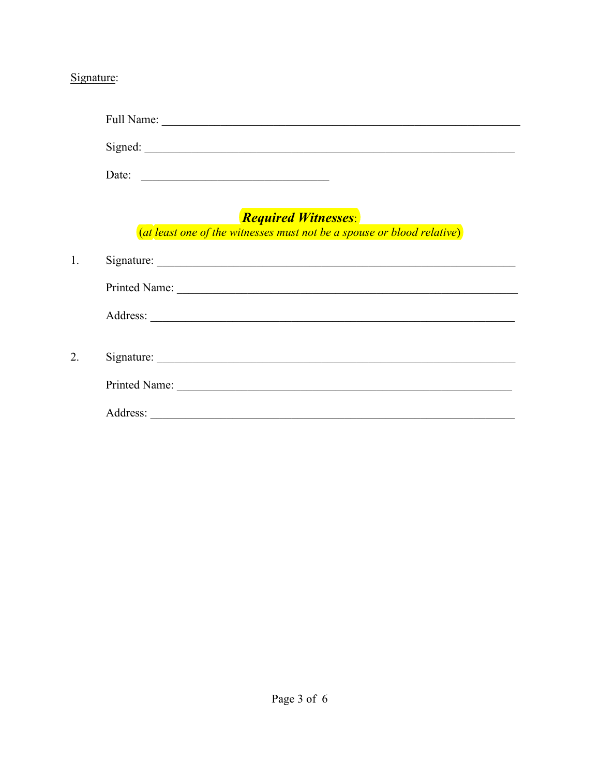## Signature:

 $\overline{1}$ .

 $\overline{2}$ .

|       | Signed:                                                                                              |
|-------|------------------------------------------------------------------------------------------------------|
| Date: | <u> 1980 - Andrea Barbara, politikar politikar (h. 1980).</u>                                        |
|       | <b>Required Witnesses:</b><br>(at least one of the witnesses must not be a spouse or blood relative) |
|       |                                                                                                      |
|       |                                                                                                      |
|       |                                                                                                      |
|       |                                                                                                      |
|       |                                                                                                      |
|       | Address:                                                                                             |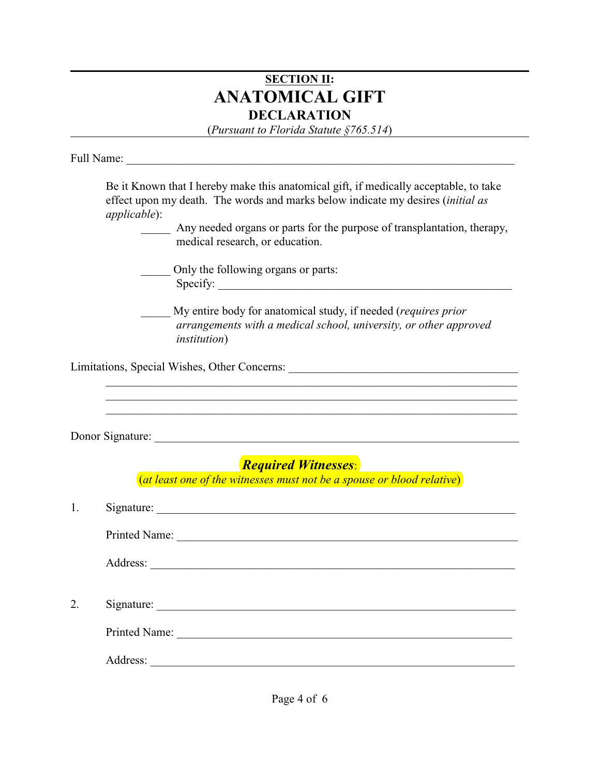## **SECTION II: ANATOMICAL GIFT DECLARATION**

(*Pursuant to Florida Statute §765.514*)

Full Name: \_\_\_\_\_\_\_\_\_\_\_\_\_\_\_\_\_\_\_\_\_\_\_\_\_\_\_\_\_\_\_\_\_\_\_\_\_\_\_\_\_\_\_\_\_\_\_\_\_\_\_\_\_\_\_\_\_\_\_\_\_\_\_\_\_\_

|    | Be it Known that I hereby make this anatomical gift, if medically acceptable, to take<br>effect upon my death. The words and marks below indicate my desires (initial as |
|----|--------------------------------------------------------------------------------------------------------------------------------------------------------------------------|
|    | applicable):                                                                                                                                                             |
|    | Any needed organs or parts for the purpose of transplantation, therapy,<br>medical research, or education.                                                               |
|    | Only the following organs or parts:                                                                                                                                      |
|    | My entire body for anatomical study, if needed ( <i>requires prior</i><br>arrangements with a medical school, university, or other approved<br><i>institution</i> )      |
|    | Limitations, Special Wishes, Other Concerns: ___________________________________                                                                                         |
|    |                                                                                                                                                                          |
|    | <u> 1989 - Johann John Stoff, deutscher Stoffen und der Stoffen und der Stoffen und der Stoffen und der Stoffen un</u>                                                   |
|    | Donor Signature:                                                                                                                                                         |
|    |                                                                                                                                                                          |
|    | <b>Required Witnesses:</b><br>$\overline{a}$ (at least one of the witnesses must not be a spouse or blood relative)                                                      |
| 1. |                                                                                                                                                                          |
|    |                                                                                                                                                                          |
|    |                                                                                                                                                                          |
|    |                                                                                                                                                                          |
| 2. |                                                                                                                                                                          |
|    |                                                                                                                                                                          |
|    | Address:                                                                                                                                                                 |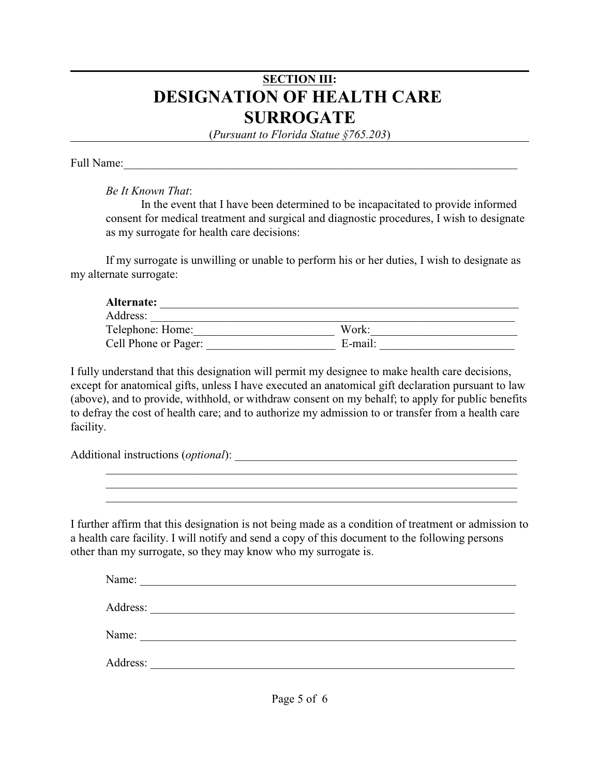# **SECTION III: DESIGNATION OF HEALTH CARE SURROGATE**

(*Pursuant to Florida Statue §765.203*)

Full Name:

*Be It Known That*:

In the event that I have been determined to be incapacitated to provide informed consent for medical treatment and surgical and diagnostic procedures, I wish to designate as my surrogate for health care decisions:

If my surrogate is unwilling or unable to perform his or her duties, I wish to designate as my alternate surrogate:

| Alternate:           |         |  |
|----------------------|---------|--|
| Address:             |         |  |
| Telephone: Home:     | Work:   |  |
| Cell Phone or Pager: | E-mail: |  |

I fully understand that this designation will permit my designee to make health care decisions, except for anatomical gifts, unless I have executed an anatomical gift declaration pursuant to law (above), and to provide, withhold, or withdraw consent on my behalf; to apply for public benefits to defray the cost of health care; and to authorize my admission to or transfer from a health care facility.

Additional instructions (*optional*):

I further affirm that this designation is not being made as a condition of treatment or admission to a health care facility. I will notify and send a copy of this document to the following persons other than my surrogate, so they may know who my surrogate is.

 $\_$ 

\_\_\_\_\_\_\_\_\_\_\_\_\_\_\_\_\_\_\_\_\_\_\_\_\_\_\_\_\_\_\_\_\_\_\_\_\_\_\_\_\_\_\_\_\_\_\_\_\_\_\_\_\_\_\_\_\_\_\_\_\_\_\_\_\_\_\_\_\_\_

\_\_\_\_\_\_\_\_\_\_\_\_\_\_\_\_\_\_\_\_\_\_\_\_\_\_\_\_\_\_\_\_\_\_\_\_\_\_\_\_\_\_\_\_\_\_\_\_\_\_\_\_\_\_\_\_\_\_\_\_\_\_\_\_\_\_\_\_\_\_

| Name:    | <u> 2001 - Johann Amerikaanse kommunister (</u>                                                                      |  |
|----------|----------------------------------------------------------------------------------------------------------------------|--|
|          |                                                                                                                      |  |
| Address: | <u> 1989 - Johann John Stone, mars eta bainar eta bainar eta baina eta baina eta baina eta baina eta baina eta b</u> |  |
| Name:    | <u> 1980 - Jan Samuel Barbara, martin di</u>                                                                         |  |
|          |                                                                                                                      |  |
| Address: |                                                                                                                      |  |